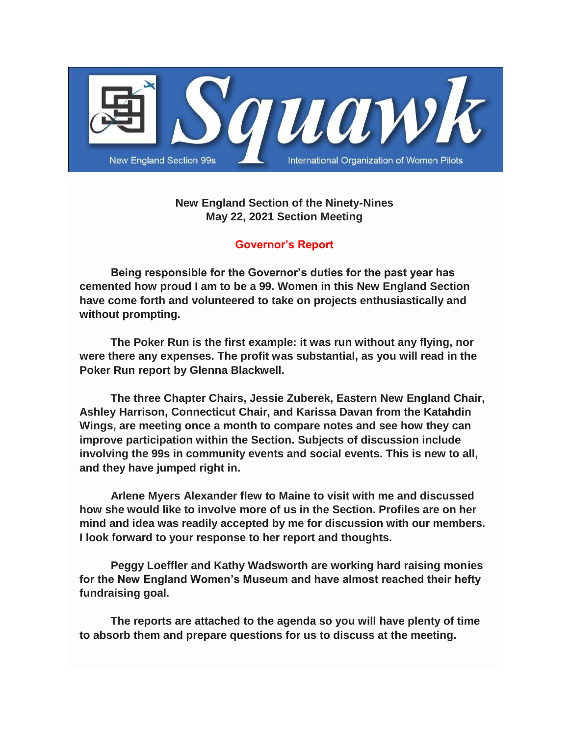

# **New England Section of the Ninety-Nines May 22, 2021 Section Meeting**

# **Governor's Report**

 **Being responsible for the Governor's duties for the past year has cemented how proud I am to be a 99. Women in this New England Section have come forth and volunteered to take on projects enthusiastically and without prompting.**

 **The Poker Run is the first example: it was run without any flying, nor were there any expenses. The profit was substantial, as you will read in the Poker Run report by Glenna Blackwell.**

 **The three Chapter Chairs, Jessie Zuberek, Eastern New England Chair, Ashley Harrison, Connecticut Chair, and Karissa Davan from the Katahdin Wings, are meeting once a month to compare notes and see how they can improve participation within the Section. Subjects of discussion include involving the 99s in community events and social events. This is new to all, and they have jumped right in.**

 **Arlene Myers Alexander flew to Maine to visit with me and discussed how she would like to involve more of us in the Section. Profiles are on her mind and idea was readily accepted by me for discussion with our members. I look forward to your response to her report and thoughts.**

 **Peggy Loeffler and Kathy Wadsworth are working hard raising monies for the New England Women's Museum and have almost reached their hefty fundraising goal.**

 **The reports are attached to the agenda so you will have plenty of time to absorb them and prepare questions for us to discuss at the meeting.**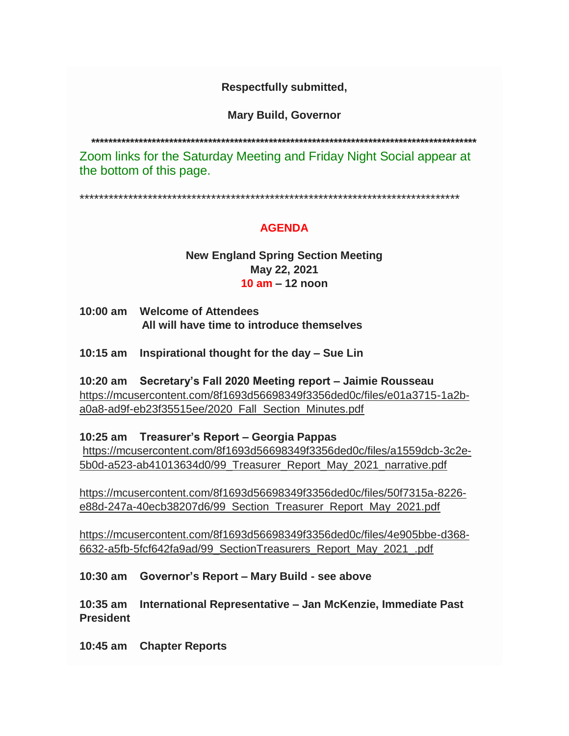# **Respectfully submitted,**

**Mary Build, Governor**

**\*\*\*\*\*\*\*\*\*\*\*\*\*\*\*\*\*\*\*\*\*\*\*\*\*\*\*\*\*\*\*\*\*\*\*\*\*\*\*\*\*\*\*\*\*\*\*\*\*\*\*\*\*\*\*\*\*\*\*\*\*\*\*\*\*\*\*\*\*\*\*\*\*\*\*\*\*\*\*\*\*\*\*\*\*\*\*\*\***

Zoom links for the Saturday Meeting and Friday Night Social appear at the bottom of this page.

\*\*\*\*\*\*\*\*\*\*\*\*\*\*\*\*\*\*\*\*\*\*\*\*\*\*\*\*\*\*\*\*\*\*\*\*\*\*\*\*\*\*\*\*\*\*\*\*\*\*\*\*\*\*\*\*\*\*\*\*\*\*\*\*\*\*\*\*\*\*\*\*\*\*\*\*\*\*

# **AGENDA**

### **New England Spring Section Meeting May 22, 2021 10 am – 12 noon**

- **10:00 am Welcome of Attendees All will have time to introduce themselves**
- **10:15 am Inspirational thought for the day – Sue Lin**
- **10:20 am Secretary's Fall 2020 Meeting report – Jaimie Rousseau** [https://mcusercontent.com/8f1693d56698349f3356ded0c/files/e01a3715-1a2b](https://womenpilotsene.us6.list-manage.com/track/click?u=8f1693d56698349f3356ded0c&id=32d891fdab&e=75347ca4ae)[a0a8-ad9f-eb23f35515ee/2020\\_Fall\\_Section\\_Minutes.pdf](https://womenpilotsene.us6.list-manage.com/track/click?u=8f1693d56698349f3356ded0c&id=32d891fdab&e=75347ca4ae)

# **10:25 am Treasurer's Report – Georgia Pappas**

[https://mcusercontent.com/8f1693d56698349f3356ded0c/files/a1559dcb-3c2e-](https://womenpilotsene.us6.list-manage.com/track/click?u=8f1693d56698349f3356ded0c&id=d3e03048dd&e=75347ca4ae)[5b0d-a523-ab41013634d0/99\\_Treasurer\\_Report\\_May\\_2021\\_narrative.pdf](https://womenpilotsene.us6.list-manage.com/track/click?u=8f1693d56698349f3356ded0c&id=d3e03048dd&e=75347ca4ae)

[https://mcusercontent.com/8f1693d56698349f3356ded0c/files/50f7315a-8226](https://womenpilotsene.us6.list-manage.com/track/click?u=8f1693d56698349f3356ded0c&id=6c5359d2d1&e=75347ca4ae) [e88d-247a-40ecb38207d6/99\\_Section\\_Treasurer\\_Report\\_May\\_2021.pdf](https://womenpilotsene.us6.list-manage.com/track/click?u=8f1693d56698349f3356ded0c&id=6c5359d2d1&e=75347ca4ae)

[https://mcusercontent.com/8f1693d56698349f3356ded0c/files/4e905bbe-d368-](https://womenpilotsene.us6.list-manage.com/track/click?u=8f1693d56698349f3356ded0c&id=b0b03a5549&e=75347ca4ae) [6632-a5fb-5fcf642fa9ad/99\\_SectionTreasurers\\_Report\\_May\\_2021\\_.pdf](https://womenpilotsene.us6.list-manage.com/track/click?u=8f1693d56698349f3356ded0c&id=b0b03a5549&e=75347ca4ae)

**10:30 am Governor's Report – Mary Build - see above**

**10:35 am International Representative – Jan McKenzie, Immediate Past President**

**10:45 am Chapter Reports**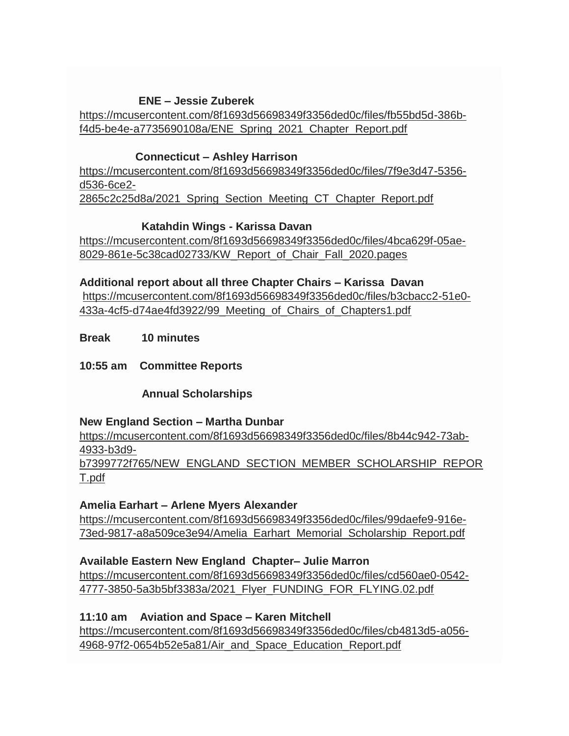# **ENE – Jessie Zuberek**

[https://mcusercontent.com/8f1693d56698349f3356ded0c/files/fb55bd5d-386b](https://womenpilotsene.us6.list-manage.com/track/click?u=8f1693d56698349f3356ded0c&id=78c672ea51&e=75347ca4ae)[f4d5-be4e-a7735690108a/ENE\\_Spring\\_2021\\_Chapter\\_Report.pdf](https://womenpilotsene.us6.list-manage.com/track/click?u=8f1693d56698349f3356ded0c&id=78c672ea51&e=75347ca4ae)

### **Connecticut – Ashley Harrison**

[https://mcusercontent.com/8f1693d56698349f3356ded0c/files/7f9e3d47-5356](https://womenpilotsene.us6.list-manage.com/track/click?u=8f1693d56698349f3356ded0c&id=b8423ba5ae&e=75347ca4ae) [d536-6ce2-](https://womenpilotsene.us6.list-manage.com/track/click?u=8f1693d56698349f3356ded0c&id=b8423ba5ae&e=75347ca4ae) [2865c2c25d8a/2021\\_Spring\\_Section\\_Meeting\\_CT\\_Chapter\\_Report.pdf](https://womenpilotsene.us6.list-manage.com/track/click?u=8f1693d56698349f3356ded0c&id=b8423ba5ae&e=75347ca4ae)

### **Katahdin Wings - Karissa Davan**

[https://mcusercontent.com/8f1693d56698349f3356ded0c/files/4bca629f-05ae-](https://womenpilotsene.us6.list-manage.com/track/click?u=8f1693d56698349f3356ded0c&id=1840e97cbd&e=75347ca4ae)[8029-861e-5c38cad02733/KW\\_Report\\_of\\_Chair\\_Fall\\_2020.pages](https://womenpilotsene.us6.list-manage.com/track/click?u=8f1693d56698349f3356ded0c&id=1840e97cbd&e=75347ca4ae)

**Additional report about all three Chapter Chairs – Karissa Davan** [https://mcusercontent.com/8f1693d56698349f3356ded0c/files/b3cbacc2-51e0-](https://womenpilotsene.us6.list-manage.com/track/click?u=8f1693d56698349f3356ded0c&id=acde74e98c&e=75347ca4ae) [433a-4cf5-d74ae4fd3922/99\\_Meeting\\_of\\_Chairs\\_of\\_Chapters1.pdf](https://womenpilotsene.us6.list-manage.com/track/click?u=8f1693d56698349f3356ded0c&id=acde74e98c&e=75347ca4ae)

**Break 10 minutes**

**10:55 am Committee Reports**

 **Annual Scholarships**

### **New England Section – Martha Dunbar**

[https://mcusercontent.com/8f1693d56698349f3356ded0c/files/8b44c942-73ab-](https://womenpilotsene.us6.list-manage.com/track/click?u=8f1693d56698349f3356ded0c&id=6097110442&e=75347ca4ae)[4933-b3d9-](https://womenpilotsene.us6.list-manage.com/track/click?u=8f1693d56698349f3356ded0c&id=6097110442&e=75347ca4ae)

[b7399772f765/NEW\\_ENGLAND\\_SECTION\\_MEMBER\\_SCHOLARSHIP\\_REPOR](https://womenpilotsene.us6.list-manage.com/track/click?u=8f1693d56698349f3356ded0c&id=6097110442&e=75347ca4ae) [T.pdf](https://womenpilotsene.us6.list-manage.com/track/click?u=8f1693d56698349f3356ded0c&id=6097110442&e=75347ca4ae)

### **Amelia Earhart – Arlene Myers Alexander**

[https://mcusercontent.com/8f1693d56698349f3356ded0c/files/99daefe9-916e-](https://womenpilotsene.us6.list-manage.com/track/click?u=8f1693d56698349f3356ded0c&id=d9cffcedf3&e=75347ca4ae)[73ed-9817-a8a509ce3e94/Amelia\\_Earhart\\_Memorial\\_Scholarship\\_Report.pdf](https://womenpilotsene.us6.list-manage.com/track/click?u=8f1693d56698349f3356ded0c&id=d9cffcedf3&e=75347ca4ae)

# **Available Eastern New England Chapter– Julie Marron**

[https://mcusercontent.com/8f1693d56698349f3356ded0c/files/cd560ae0-0542-](https://womenpilotsene.us6.list-manage.com/track/click?u=8f1693d56698349f3356ded0c&id=ff9b5343a3&e=75347ca4ae) [4777-3850-5a3b5bf3383a/2021\\_Flyer\\_FUNDING\\_FOR\\_FLYING.02.pdf](https://womenpilotsene.us6.list-manage.com/track/click?u=8f1693d56698349f3356ded0c&id=ff9b5343a3&e=75347ca4ae)

# **11:10 am Aviation and Space – Karen Mitchell**

[https://mcusercontent.com/8f1693d56698349f3356ded0c/files/cb4813d5-a056-](https://womenpilotsene.us6.list-manage.com/track/click?u=8f1693d56698349f3356ded0c&id=1a07dcbf19&e=75347ca4ae) [4968-97f2-0654b52e5a81/Air\\_and\\_Space\\_Education\\_Report.pdf](https://womenpilotsene.us6.list-manage.com/track/click?u=8f1693d56698349f3356ded0c&id=1a07dcbf19&e=75347ca4ae)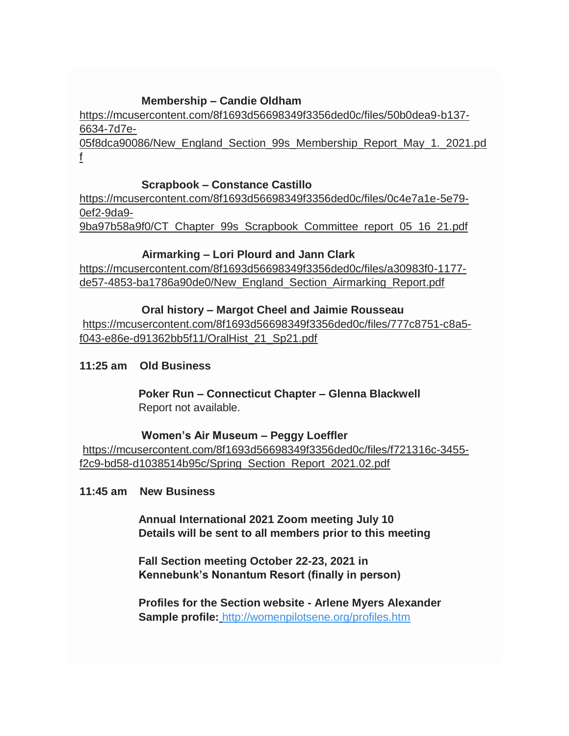### **Membership – Candie Oldham**

[https://mcusercontent.com/8f1693d56698349f3356ded0c/files/50b0dea9-b137-](https://womenpilotsene.us6.list-manage.com/track/click?u=8f1693d56698349f3356ded0c&id=684cceed8d&e=75347ca4ae) [6634-7d7e-](https://womenpilotsene.us6.list-manage.com/track/click?u=8f1693d56698349f3356ded0c&id=684cceed8d&e=75347ca4ae)

[05f8dca90086/New\\_England\\_Section\\_99s\\_Membership\\_Report\\_May\\_1.\\_2021.pd](https://womenpilotsene.us6.list-manage.com/track/click?u=8f1693d56698349f3356ded0c&id=684cceed8d&e=75347ca4ae) [f](https://womenpilotsene.us6.list-manage.com/track/click?u=8f1693d56698349f3356ded0c&id=684cceed8d&e=75347ca4ae)

#### **Scrapbook – Constance Castillo**

[https://mcusercontent.com/8f1693d56698349f3356ded0c/files/0c4e7a1e-5e79-](https://womenpilotsene.us6.list-manage.com/track/click?u=8f1693d56698349f3356ded0c&id=cc30c2a378&e=75347ca4ae) [0ef2-9da9-](https://womenpilotsene.us6.list-manage.com/track/click?u=8f1693d56698349f3356ded0c&id=cc30c2a378&e=75347ca4ae)

[9ba97b58a9f0/CT\\_Chapter\\_99s\\_Scrapbook\\_Committee\\_report\\_05\\_16\\_21.pdf](https://womenpilotsene.us6.list-manage.com/track/click?u=8f1693d56698349f3356ded0c&id=cc30c2a378&e=75347ca4ae)

### **Airmarking – Lori Plourd and Jann Clark**

[https://mcusercontent.com/8f1693d56698349f3356ded0c/files/a30983f0-1177](https://womenpilotsene.us6.list-manage.com/track/click?u=8f1693d56698349f3356ded0c&id=f7bde22d8c&e=75347ca4ae) [de57-4853-ba1786a90de0/New\\_England\\_Section\\_Airmarking\\_Report.pdf](https://womenpilotsene.us6.list-manage.com/track/click?u=8f1693d56698349f3356ded0c&id=f7bde22d8c&e=75347ca4ae)

### **Oral history – Margot Cheel and Jaimie Rousseau**

[https://mcusercontent.com/8f1693d56698349f3356ded0c/files/777c8751-c8a5](https://womenpilotsene.us6.list-manage.com/track/click?u=8f1693d56698349f3356ded0c&id=4d05083357&e=75347ca4ae) [f043-e86e-d91362bb5f11/OralHist\\_21\\_Sp21.pdf](https://womenpilotsene.us6.list-manage.com/track/click?u=8f1693d56698349f3356ded0c&id=4d05083357&e=75347ca4ae)

### **11:25 am Old Business**

 **Poker Run – Connecticut Chapter – Glenna Blackwell** Report not available.

### **Women's Air Museum – Peggy Loeffler**

[https://mcusercontent.com/8f1693d56698349f3356ded0c/files/f721316c-3455](https://womenpilotsene.us6.list-manage.com/track/click?u=8f1693d56698349f3356ded0c&id=d8b681bb89&e=75347ca4ae) [f2c9-bd58-d1038514b95c/Spring\\_Section\\_Report\\_2021.02.pdf](https://womenpilotsene.us6.list-manage.com/track/click?u=8f1693d56698349f3356ded0c&id=d8b681bb89&e=75347ca4ae)

### **11:45 am New Business**

 **Annual International 2021 Zoom meeting July 10 Details will be sent to all members prior to this meeting**

 **Fall Section meeting October 22-23, 2021 in Kennebunk's Nonantum Resort (finally in person)**

 **Profiles for the Section website - Arlene Myers Alexander Sample profile[:](https://womenpilotsene.us6.list-manage.com/track/click?u=8f1693d56698349f3356ded0c&id=73dfd26e3d&e=75347ca4ae)** [http://womenpilotsene.org/profiles.htm](https://womenpilotsene.us6.list-manage.com/track/click?u=8f1693d56698349f3356ded0c&id=73dfd26e3d&e=75347ca4ae)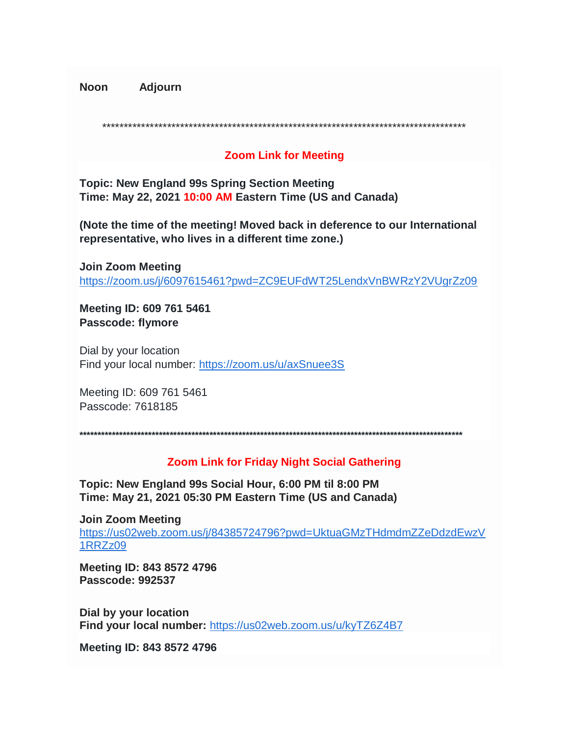**Noon Adjourn** 

### **Zoom Link for Meeting**

**Topic: New England 99s Spring Section Meeting** Time: May 22, 2021 10:00 AM Eastern Time (US and Canada)

(Note the time of the meeting! Moved back in deference to our International representative, who lives in a different time zone.)

**Join Zoom Meeting** https://zoom.us/j/6097615461?pwd=ZC9EUFdWT25LendxVnBWRzY2VUgrZz09

Meeting ID: 609 761 5461 Passcode: flymore

Dial by your location Find your local number: https://zoom.us/u/axSnuee3S

Meeting ID: 609 761 5461 Passcode: 7618185

### **Zoom Link for Friday Night Social Gathering**

Topic: New England 99s Social Hour, 6:00 PM til 8:00 PM Time: May 21, 2021 05:30 PM Eastern Time (US and Canada)

**Join Zoom Meeting** https://us02web.zoom.us/j/84385724796?pwd=UktuaGMzTHdmdmZZeDdzdEwzV 1RRZz09

Meeting ID: 843 8572 4796 Passcode: 992537

Dial by your location Find your local number: https://us02web.zoom.us/u/kyTZ6Z4B7

Meeting ID: 843 8572 4796